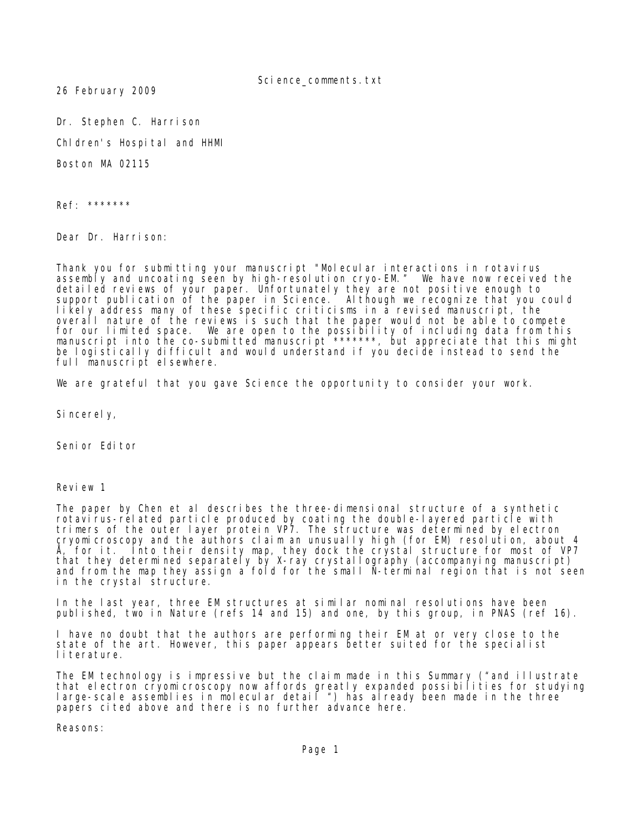Science comments.txt

26 February 2009

Dr. Stephen C. Harrison

Chldren's Hospital and HHMI

Boston MA 02115

Ref: \*\*\*\*\*\*\*

Dear Dr. Harrison:

Thank you for submitting your manuscript "Molecular interactions in rotavirus assembly and uncoating seen by high-resolution cryo-EM." We have now received the detailed reviews of your paper. Unfortunately they are not positive enough to support publication of the paper in Science. Although we recognize that you could likely address many of these specific criticisms in a revised manuscript, the overall nature of the reviews is such that the paper would not be able to compete for our limited space. We are open to the possibility of including data from this manuscript into the co-submitted manuscript \*\*\*\*\*\*\*, but appreciate that this might be logistically difficult and would understand if you decide instead to send the full manuscript elsewhere.

We are grateful that you gave Science the opportunity to consider your work.

Sincerely,

Seni or Editor

Review 1

The paper by Chen et al describes the three-dimensional structure of a synthetic rotavirus-related particle produced by coating the double-layered particle with trimers of the outer layer protein VP7. The structure was determined by electron cryomicroscopy and the authors claim an unusually high (for EM) resolution, about 4 Å, for it. Into their density map, they dock the crystal structure for most of VP7 that they determined separately by X-ray crystallography (accompanying manuscript) and from the map they assign a fold for the small N-terminal region that is not seen in the crystal structure.

In the last year, three EM structures at similar nominal resolutions have been published, two in Nature (refs 14 and 15) and one, by this group, in PNAS (ref 16).

I have no doubt that the authors are performing their EM at or very close to the state of the art. However, this paper appears better suited for the specialist literature.

The EM technology is impressive but the claim made in this Summary ("and illustrate that electron cryomicroscopy now affords greatly expanded possibilities for studying large-scale assemblies in molecular detail ") has already been made in the three papers cited above and there is no further advance here.

Reasons: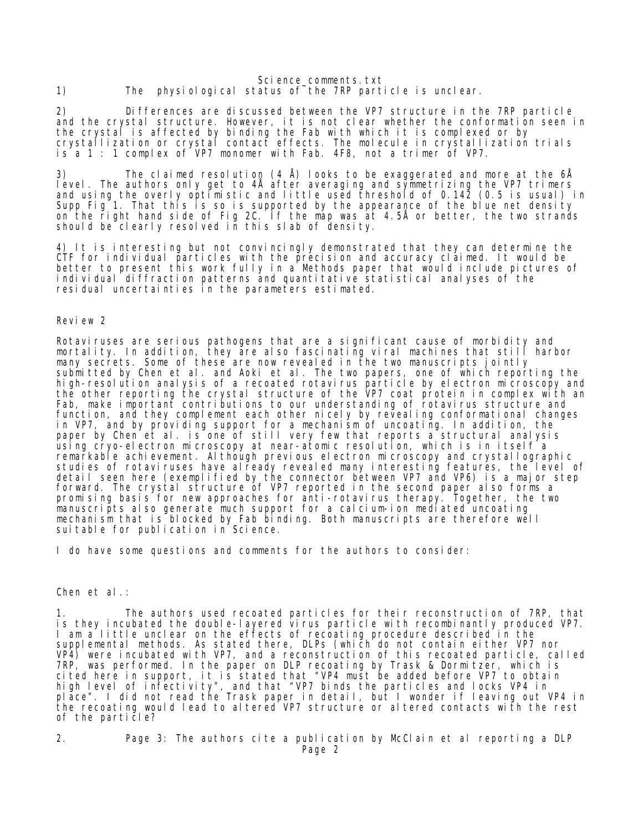Science comments.txt 1) The physiological status of the 7RP particle is unclear.

2) Differences are discussed between the VP7 structure in the 7RP particle and the crystal structure. However, it is not clear whether the conformation seen in the crystal is affected by binding the Fab with which it is complexed or by crystallization or crystal contact effects. The molecule in crystallization trials is a 1 : 1 complex of VP7 monomer with Fab. 4F8, not a trimer of VP7.

3) The claimed resolution (4 Å) looks to be exaggerated and more at the 6Å level. The authors only get to 4Å after averaging and symmetrizing the VP7 trimers and using the overly optimistic and little used threshold of 0.142 (0.5 is usual) in Supp Fig 1. That this is so is supported by the appearance of the blue net density on the right hand side of Fig 2C. If the map was at 4.5Å or better, the two strands should be clearly resolved in this slab of density.

4) It is interesting but not convincingly demonstrated that they can determine the CTF for individual particles with the precision and accuracy claimed. It would be better to present this work fully in a Methods paper that would include pictures of individual diffraction patterns and quantitative statistical analyses of the residual uncertainties in the parameters estimated.

Review 2

Rotaviruses are serious pathogens that are a significant cause of morbidity and mortality. In addition, they are also fascinating viral machines that still harbor many secrets. Some of these are now revealed in the two manuscripts jointly submitted by Chen et al. and Aoki et al. The two papers, one of which reporting the high-resolution analysis of a recoated rotavirus particle by electron microscopy and the other reporting the crystal structure of the VP7 coat protein in complex with an Fab, make important contributions to our understanding of rotavirus structure and function, and they complement each other nicely by revealing conformational changes in VP7, and by providing support for a mechanism of uncoating. In addition, the paper by Chen et al. is one of still very few that reports a structural analysis using cryo-electron microscopy at near-atomic resolution, which is in itself a remarkable achievement. Although previous electron microscopy and crystallographic studies of rotaviruses have already revealed many interesting features, the level of detail seen here (exemplified by the connector between VP7 and VP6) is a major step forward. The crystal structure of VP7 reported in the second paper also forms a promising basis for new approaches for anti-rotavirus therapy. Together, the two manuscripts also generate much support for a calcium-ion mediated uncoating mechanism that is blocked by Fab binding. Both manuscripts are therefore well suitable for publication in Science.

I do have some questions and comments for the authors to consider:

Chen et al.:

The authors used recoated particles for their reconstruction of 7RP, that is they incubated the double-layered virus particle with recombinantly produced VP7. I am a little unclear on the effects of recoating procedure described in the supplemental methods. As stated there, DLPs (which do not contain either VP7 nor VP4) were incubated with VP7, and a reconstruction of this recoated particle, called 7RP, was performed. In the paper on DLP recoating by Trask & Dormitzer, which is cited here in support, it is stated that "VP4 must be added before VP7 to obtain high level of infectivity", and that "VP7 binds the particles and locks VP4 in place". I did not read the Trask paper in detail, but I wonder if leaving out VP4 in the recoating would lead to altered VP7 structure or altered contacts with the rest of the particle?

2. Page 3: The authors cite a publication by McClain et al reporting a DLP Page 2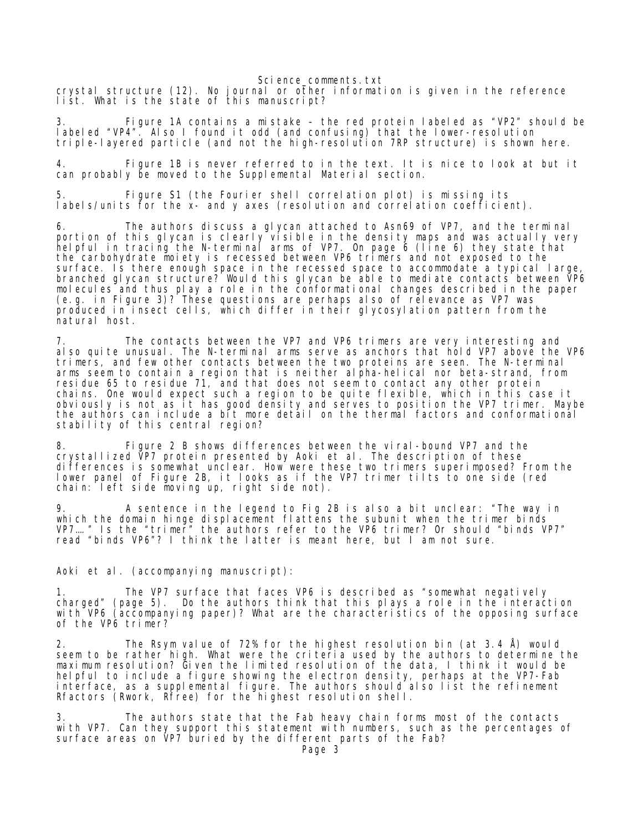Science comments.txt

crystal structure (12). No journal or other information is given in the reference list. What is the state of this manuscript?

3. Figure 1A contains a mistake – the red protein labeled as "VP2" should be labeled "VP4". Also I found it odd (and confusing) that the lower-resolution triple-layered particle (and not the high-resolution 7RP structure) is shown here.

4. Figure 1B is never referred to in the text. It is nice to look at but it can probably be moved to the Supplemental Material section.

Figure S1 (the Fourier shell correlation plot) is missing its labels/units for the x- and y axes (resolution and correlation coefficient).

6. The authors discuss a glycan attached to Asn69 of VP7, and the terminal portion of this glycan is clearly visible in the density maps and was actually very helpful in tracing the N-terminal arms of VP7. On page 6 (line 6) they state that the carbohydrate moiety is recessed between VP6 trimers and not exposed to the surface. Is there enough space in the recessed space to accommodate a typical large, branched glycan structure? Would this glycan be able to mediate contacts between VP6 molecules and thus play a role in the conformational changes described in the paper (e.g. in Figure 3)? These questions are perhaps also of relevance as VP7 was produced in insect cells, which differ in their glycosylation pattern from the natural host.

7. The contacts between the VP7 and VP6 trimers are very interesting and also quite unusual. The N-terminal arms serve as anchors that hold VP7 above the VP6 trimers, and few other contacts between the two proteins are seen. The N-terminal arms seem to contain a region that is neither alpha-helical nor beta-strand, from residue 65 to residue 71, and that does not seem to contact any other protein chains. One would expect such a region to be quite flexible, which in this case it obviously is not as it has good density and serves to position the VP7 trimer. Maybe the authors can include a bit more detail on the thermal factors and conformational stability of this central region?

8. Figure 2 B shows differences between the viral-bound VP7 and the crystallized VP7 protein presented by Aoki et al. The description of these differences is somewhat unclear. How were these two trimers superimposed? From the lower panel of Figure 2B, it looks as if the VP7 trimer tilts to one side (red chain: left side moving up, right side not).

9. A sentence in the legend to Fig 2B is also a bit unclear: "The way in which the domain hinge displacement flattens the subunit when the trimer binds VP7…." Is the "trimer" the authors refer to the VP6 trimer? Or should "binds VP7" read "binds VP6"? I think the latter is meant here, but I am not sure.

Aoki et al. (accompanying manuscript):

The VP7 surface that faces VP6 is described as "somewhat negatively charged" (page 5). Do the authors think that this plays a role in the interaction with VP6 (accompanying paper)? What are the characteristics of the opposing surface of the VP6 trimer?

The Rsym value of 72% for the highest resolution bin (at 3.4  $\AA$ ) would seem to be rather high. What were the criteria used by the authors to determine the maximum resolution? Given the limited resolution of the data, I think it would be helpful to include a figure showing the electron density, perhaps at the VP7-Fab interface, as a supplemental figure. The authors should also list the refinement Rfactors (Rwork, Rfree) for the highest resolution shell.

3. The authors state that the Fab heavy chain forms most of the contacts with VP7. Can they support this statement with numbers, such as the percentages of surface areas on VP7 buried by the different parts of the Fab?